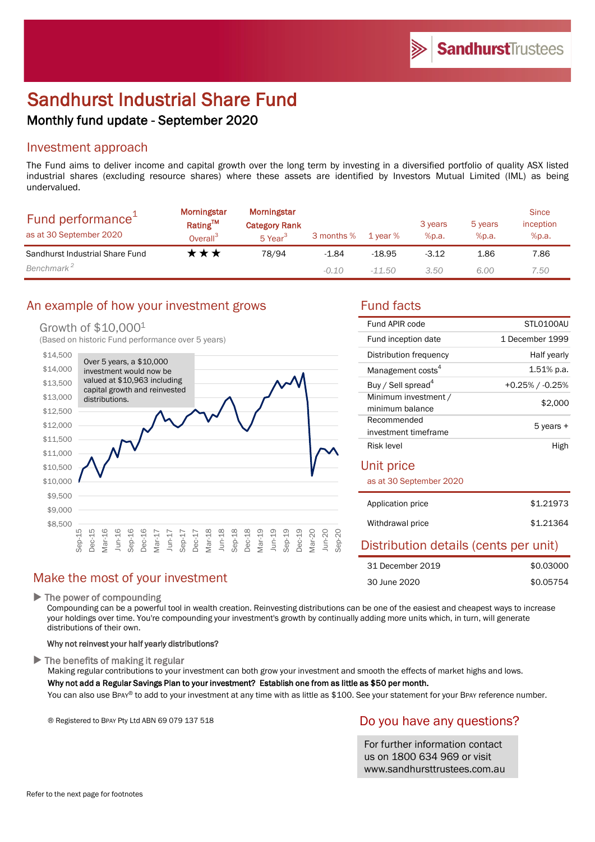# Sandhurst Industrial Share Fund

# Monthly fund update - September 2020

# Investment approach

The Fund aims to deliver income and capital growth over the long term by investing in a diversified portfolio of quality ASX listed industrial shares (excluding resource shares) where these assets are identified by Investors Mutual Limited (IML) as being undervalued.

| Fund performance <sup>+</sup><br>as at 30 September 2020 | Morningstar<br>Rating™<br>Overall <sup>3</sup> | Morningstar<br><b>Category Rank</b><br>5 Year <sup>3</sup> | 3 months % | 1 year % | 3 years<br>%p.a. | 5 years<br>%p.a. | <b>Since</b><br>inception<br>%p.a. |
|----------------------------------------------------------|------------------------------------------------|------------------------------------------------------------|------------|----------|------------------|------------------|------------------------------------|
| Sandhurst Industrial Share Fund                          | ***                                            | 78/94                                                      | $-1.84$    | $-18.95$ | $-3.12$          | 1.86             | 7.86                               |
| Benchmark <sup>2</sup>                                   |                                                |                                                            | $-0.10$    | -11.50   | 3.50             | 6.00             | 7.50                               |

# An example of how your investment grows Fund facts

#### Growth of \$10,0001

(Based on historic Fund performance over 5 years)



| Fund APIR code                 | STLO100AU          |  |
|--------------------------------|--------------------|--|
| Fund inception date            | 1 December 1999    |  |
| Distribution frequency         | Half yearly        |  |
| Management costs <sup>4</sup>  | $1.51\%$ p.a.      |  |
| Buy / Sell spread <sup>4</sup> | $+0.25\%$ / -0.25% |  |
| Minimum investment /           |                    |  |
| minimum balance                | \$2,000            |  |
| Recommended                    |                    |  |
| investment timeframe           | 5 years +          |  |
| Risk level                     | High               |  |
| Unit price                     |                    |  |

as at 30 September 2020

| Application price | \$1,21973 |
|-------------------|-----------|
| Withdrawal price  | \$1,21364 |

# Distribution details (cents per unit)

| 31 December 2019 | \$0.03000 |
|------------------|-----------|
| 30 June 2020     | \$0.05754 |

# Make the most of your investment

 $\blacktriangleright$  The power of compounding

Compounding can be a powerful tool in wealth creation. Reinvesting distributions can be one of the easiest and cheapest ways to increase your holdings over time. You're compounding your investment's growth by continually adding more units which, in turn, will generate distributions of their own.

#### Why not reinvest your half yearly distributions?

 $\blacktriangleright$  The benefits of making it regular

Making regular contributions to your investment can both grow your investment and smooth the effects of market highs and lows.

#### Why not add a Regular Savings Plan to your investment? Establish one from as little as \$50 per month.

You can also use BPAY® to add to your investment at any time with as little as \$100. See your statement for your BPAY reference number.

® Registered to BPAY Pty Ltd ABN 69 079 137 518

# Do you have any questions?

For further information contact us on 1800 634 969 or visit www.sandhursttrustees.com.au